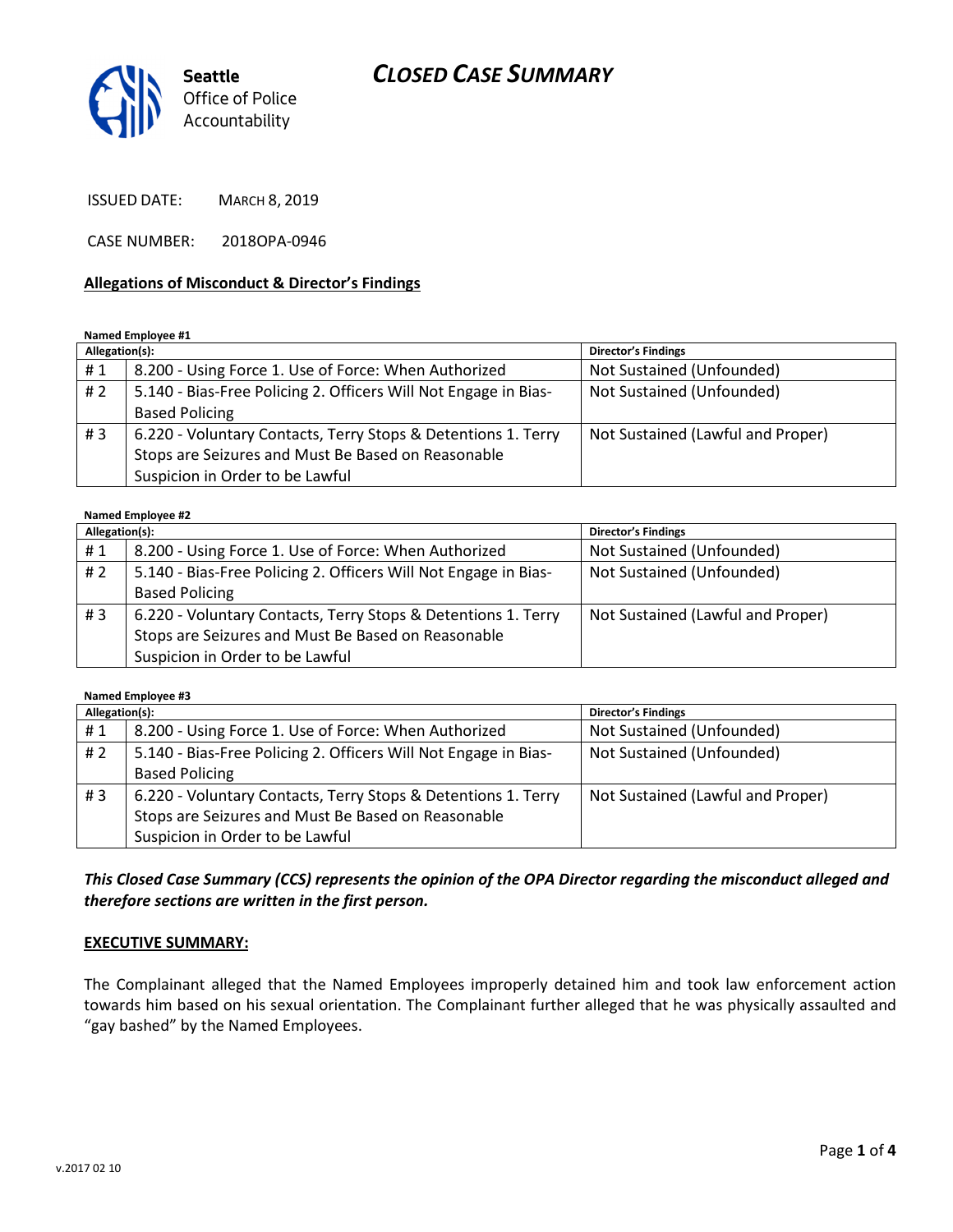# CLOSED CASE SUMMARY



ISSUED DATE: MARCH 8, 2019

CASE NUMBER: 2018OPA-0946

### Allegations of Misconduct & Director's Findings

### Named Employee #1

| Allegation(s): |                                                                 | <b>Director's Findings</b>        |
|----------------|-----------------------------------------------------------------|-----------------------------------|
| #1             | 8.200 - Using Force 1. Use of Force: When Authorized            | Not Sustained (Unfounded)         |
| #2             | 5.140 - Bias-Free Policing 2. Officers Will Not Engage in Bias- | Not Sustained (Unfounded)         |
|                | <b>Based Policing</b>                                           |                                   |
| #3             | 6.220 - Voluntary Contacts, Terry Stops & Detentions 1. Terry   | Not Sustained (Lawful and Proper) |
|                | Stops are Seizures and Must Be Based on Reasonable              |                                   |
|                | Suspicion in Order to be Lawful                                 |                                   |

### Named Employee #2

| Allegation(s): |                                                                 | <b>Director's Findings</b>        |
|----------------|-----------------------------------------------------------------|-----------------------------------|
| #1             | 8.200 - Using Force 1. Use of Force: When Authorized            | Not Sustained (Unfounded)         |
| #2             | 5.140 - Bias-Free Policing 2. Officers Will Not Engage in Bias- | Not Sustained (Unfounded)         |
|                | <b>Based Policing</b>                                           |                                   |
| #3             | 6.220 - Voluntary Contacts, Terry Stops & Detentions 1. Terry   | Not Sustained (Lawful and Proper) |
|                | Stops are Seizures and Must Be Based on Reasonable              |                                   |
|                | Suspicion in Order to be Lawful                                 |                                   |

Named Employee #3

| Allegation(s): |                                                                 | <b>Director's Findings</b>        |
|----------------|-----------------------------------------------------------------|-----------------------------------|
| #1             | 8.200 - Using Force 1. Use of Force: When Authorized            | Not Sustained (Unfounded)         |
| # 2            | 5.140 - Bias-Free Policing 2. Officers Will Not Engage in Bias- | Not Sustained (Unfounded)         |
|                | <b>Based Policing</b>                                           |                                   |
| #3             | 6.220 - Voluntary Contacts, Terry Stops & Detentions 1. Terry   | Not Sustained (Lawful and Proper) |
|                | Stops are Seizures and Must Be Based on Reasonable              |                                   |
|                | Suspicion in Order to be Lawful                                 |                                   |

This Closed Case Summary (CCS) represents the opinion of the OPA Director regarding the misconduct alleged and therefore sections are written in the first person.

#### EXECUTIVE SUMMARY:

The Complainant alleged that the Named Employees improperly detained him and took law enforcement action towards him based on his sexual orientation. The Complainant further alleged that he was physically assaulted and "gay bashed" by the Named Employees.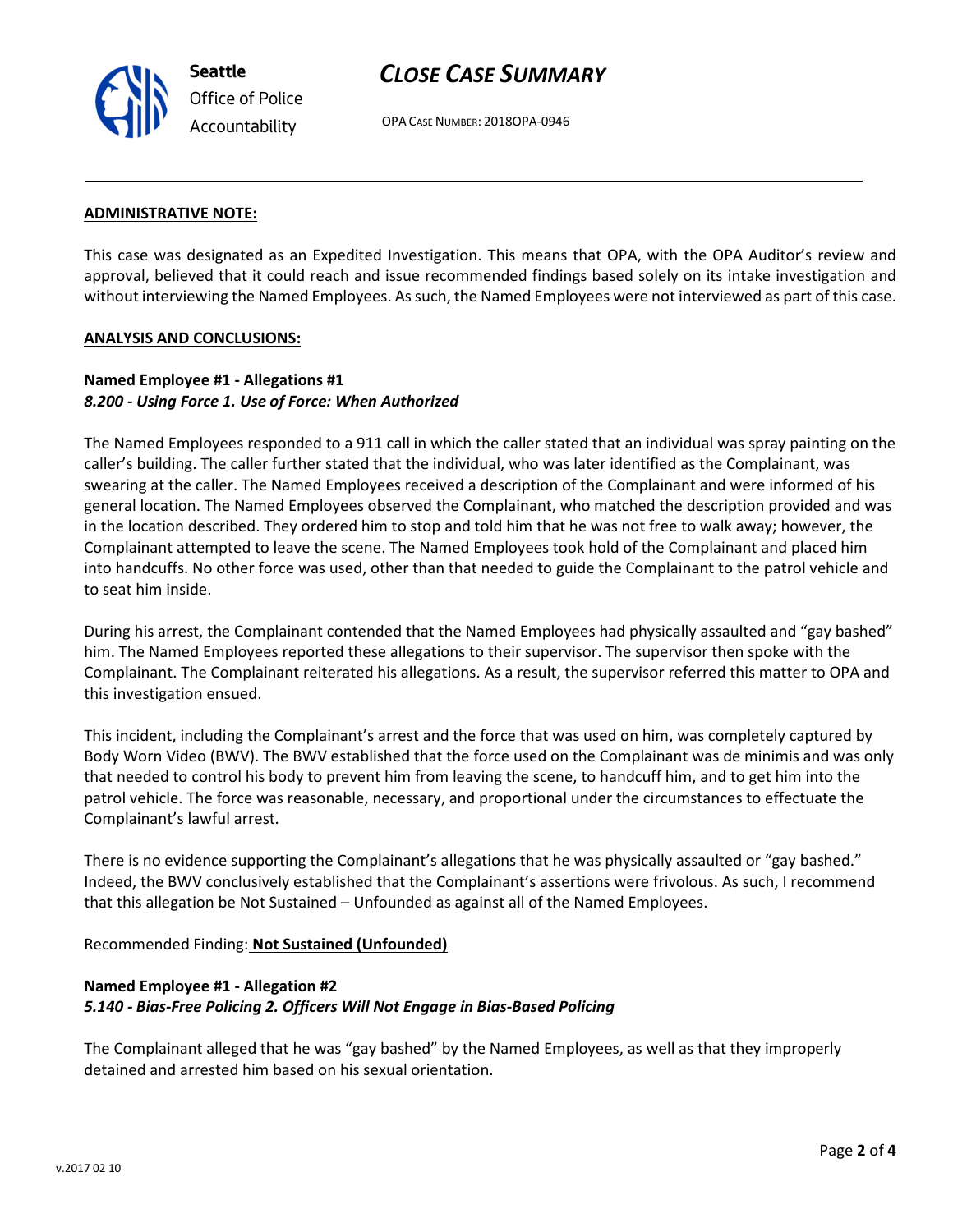v.2017 02 10

CLOSE CASE SUMMARY

OPA CASE NUMBER: 2018OPA-0946

### ADMINISTRATIVE NOTE:

This case was designated as an Expedited Investigation. This means that OPA, with the OPA Auditor's review and approval, believed that it could reach and issue recommended findings based solely on its intake investigation and without interviewing the Named Employees. As such, the Named Employees were not interviewed as part of this case.

#### ANALYSIS AND CONCLUSIONS:

### Named Employee #1 - Allegations #1 8.200 - Using Force 1. Use of Force: When Authorized

The Named Employees responded to a 911 call in which the caller stated that an individual was spray painting on the caller's building. The caller further stated that the individual, who was later identified as the Complainant, was swearing at the caller. The Named Employees received a description of the Complainant and were informed of his general location. The Named Employees observed the Complainant, who matched the description provided and was in the location described. They ordered him to stop and told him that he was not free to walk away; however, the Complainant attempted to leave the scene. The Named Employees took hold of the Complainant and placed him into handcuffs. No other force was used, other than that needed to guide the Complainant to the patrol vehicle and to seat him inside.

During his arrest, the Complainant contended that the Named Employees had physically assaulted and "gay bashed" him. The Named Employees reported these allegations to their supervisor. The supervisor then spoke with the Complainant. The Complainant reiterated his allegations. As a result, the supervisor referred this matter to OPA and this investigation ensued.

This incident, including the Complainant's arrest and the force that was used on him, was completely captured by Body Worn Video (BWV). The BWV established that the force used on the Complainant was de minimis and was only that needed to control his body to prevent him from leaving the scene, to handcuff him, and to get him into the patrol vehicle. The force was reasonable, necessary, and proportional under the circumstances to effectuate the Complainant's lawful arrest.

There is no evidence supporting the Complainant's allegations that he was physically assaulted or "gay bashed." Indeed, the BWV conclusively established that the Complainant's assertions were frivolous. As such, I recommend that this allegation be Not Sustained – Unfounded as against all of the Named Employees.

### Recommended Finding: Not Sustained (Unfounded)

## Named Employee #1 - Allegation #2 5.140 - Bias-Free Policing 2. Officers Will Not Engage in Bias-Based Policing

The Complainant alleged that he was "gay bashed" by the Named Employees, as well as that they improperly detained and arrested him based on his sexual orientation.



Seattle Office of Police Accountability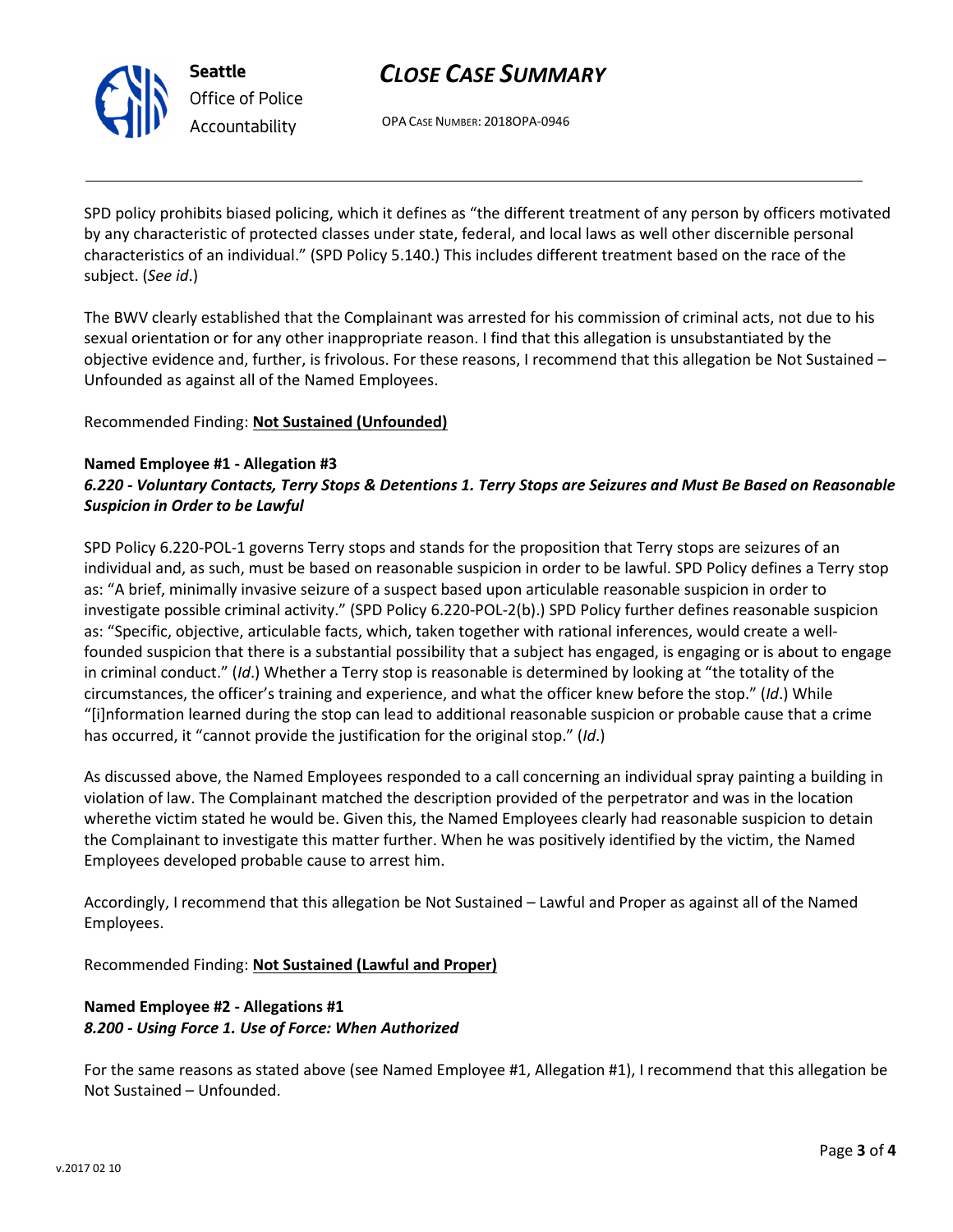

Seattle Office of Police Accountability

# CLOSE CASE SUMMARY

OPA CASE NUMBER: 2018OPA-0946

SPD policy prohibits biased policing, which it defines as "the different treatment of any person by officers motivated by any characteristic of protected classes under state, federal, and local laws as well other discernible personal characteristics of an individual." (SPD Policy 5.140.) This includes different treatment based on the race of the subject. (See id.)

The BWV clearly established that the Complainant was arrested for his commission of criminal acts, not due to his sexual orientation or for any other inappropriate reason. I find that this allegation is unsubstantiated by the objective evidence and, further, is frivolous. For these reasons, I recommend that this allegation be Not Sustained – Unfounded as against all of the Named Employees.

Recommended Finding: Not Sustained (Unfounded)

# Named Employee #1 - Allegation #3 6.220 - Voluntary Contacts, Terry Stops & Detentions 1. Terry Stops are Seizures and Must Be Based on Reasonable Suspicion in Order to be Lawful

SPD Policy 6.220-POL-1 governs Terry stops and stands for the proposition that Terry stops are seizures of an individual and, as such, must be based on reasonable suspicion in order to be lawful. SPD Policy defines a Terry stop as: "A brief, minimally invasive seizure of a suspect based upon articulable reasonable suspicion in order to investigate possible criminal activity." (SPD Policy 6.220-POL-2(b).) SPD Policy further defines reasonable suspicion as: "Specific, objective, articulable facts, which, taken together with rational inferences, would create a wellfounded suspicion that there is a substantial possibility that a subject has engaged, is engaging or is about to engage in criminal conduct." (Id.) Whether a Terry stop is reasonable is determined by looking at "the totality of the circumstances, the officer's training and experience, and what the officer knew before the stop." (Id.) While "[i]nformation learned during the stop can lead to additional reasonable suspicion or probable cause that a crime has occurred, it "cannot provide the justification for the original stop." (Id.)

As discussed above, the Named Employees responded to a call concerning an individual spray painting a building in violation of law. The Complainant matched the description provided of the perpetrator and was in the location wherethe victim stated he would be. Given this, the Named Employees clearly had reasonable suspicion to detain the Complainant to investigate this matter further. When he was positively identified by the victim, the Named Employees developed probable cause to arrest him.

Accordingly, I recommend that this allegation be Not Sustained – Lawful and Proper as against all of the Named Employees.

Recommended Finding: Not Sustained (Lawful and Proper)

# Named Employee #2 - Allegations #1 8.200 - Using Force 1. Use of Force: When Authorized

For the same reasons as stated above (see Named Employee #1, Allegation #1), I recommend that this allegation be Not Sustained – Unfounded.